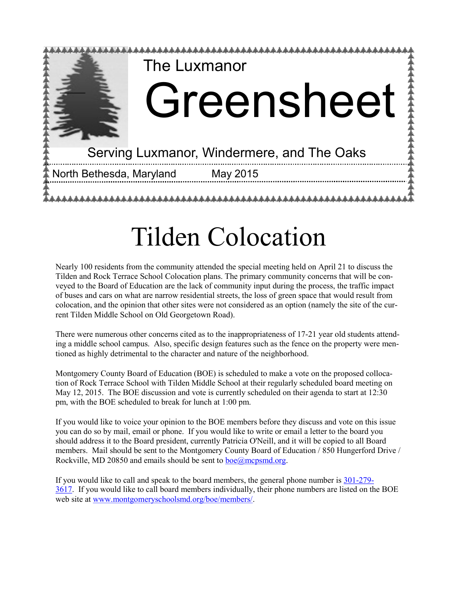

# Tilden Colocation

Nearly 100 residents from the community attended the special meeting held on April 21 to discuss the Tilden and Rock Terrace School Colocation plans. The primary community concerns that will be conveyed to the Board of Education are the lack of community input during the process, the traffic impact of buses and cars on what are narrow residential streets, the loss of green space that would result from colocation, and the opinion that other sites were not considered as an option (namely the site of the current Tilden Middle School on Old Georgetown Road).

There were numerous other concerns cited as to the inappropriateness of 17-21 year old students attending a middle school campus. Also, specific design features such as the fence on the property were mentioned as highly detrimental to the character and nature of the neighborhood.

Montgomery County Board of Education (BOE) is scheduled to make a vote on the proposed collocation of Rock Terrace School with Tilden Middle School at their regularly scheduled board meeting on May 12, 2015. The BOE discussion and vote is currently scheduled on their agenda to start at 12:30 pm, with the BOE scheduled to break for lunch at 1:00 pm.

If you would like to voice your opinion to the BOE members before they discuss and vote on this issue you can do so by mail, email or phone. If you would like to write or email a letter to the board you should address it to the Board president, currently Patricia O'Neill, and it will be copied to all Board members. Mail should be sent to the Montgomery County Board of Education / 850 Hungerford Drive / Rockville, MD 20850 and emails should be sent to [boe@mcpsmd.org.](https://netmail.verizon.com/netmail/%22http:/mailto:boe@mcpsmd.org%22)

If you would like to call and speak to the board members, the general phone number is 301-[279](https://netmail.verizon.com/netmail/%22http:/tel:301-279-3617%22)- [3617.](https://netmail.verizon.com/netmail/%22http:/tel:301-279-3617%22) If you would like to call board members individually, their phone numbers are listed on the BOE web site at [www.montgomeryschoolsmd.org/boe/members/.](http://www.montgomeryschoolsmd.org/boe/members/)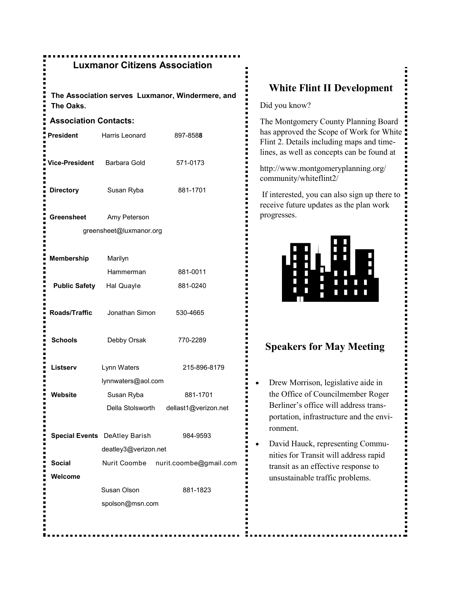### **Luxmanor Citizens Association**

**The Association serves Luxmanor, Windermere, and The Oaks.**

#### **Association Contacts:**

| <b>President</b>      | Harris Leonard                          | 897-8588                              |
|-----------------------|-----------------------------------------|---------------------------------------|
| <b>Vice-President</b> | Barbara Gold                            | 571-0173                              |
| <b>Directory</b>      | Susan Ryba                              | 881-1701                              |
| Greensheet            | Amy Peterson<br>greensheet@luxmanor.org |                                       |
| <b>Membership</b>     | Marilyn                                 |                                       |
|                       | Hammerman                               | 881-0011                              |
| <b>Public Safety</b>  | Hal Quayle                              | 881-0240                              |
| Roads/Traffic         | Jonathan Simon                          | 530-4665                              |
| <b>Schools</b>        | Debby Orsak                             | 770-2289                              |
| Listserv              | Lynn Waters                             | 215-896-8179                          |
|                       | lynnwaters@aol.com                      |                                       |
| Website               | Susan Ryba                              | 881-1701                              |
|                       |                                         | Della Stolsworth dellast1@verizon.net |
|                       | <b>Special Events</b> DeAtley Barish    | 984-9593                              |
|                       | deatley3@verizon.net                    |                                       |
| Social                |                                         | Nurit Coombe nurit.coombe@gmail.com   |
| Welcome               |                                         |                                       |
|                       | Susan Olson                             | 881-1823                              |
|                       | spolson@msn.com                         |                                       |
|                       |                                         |                                       |

### **White Flint II Development**

Did you know?

The Montgomery County Planning Board has approved the Scope of Work for White Flint 2. Details including maps and timelines, as well as concepts can be found at

http://www.montgomeryplanning.org/ community/whiteflint2/

If interested, you can also sign up there to receive future updates as the plan work progresses.



### **Speakers for May Meeting**

- Drew Morrison, legislative aide in the Office of Councilmember Roger Berliner's office will address transportation, infrastructure and the environment.
- David Hauck, representing Communities for Transit will address rapid transit as an effective response to unsustainable traffic problems.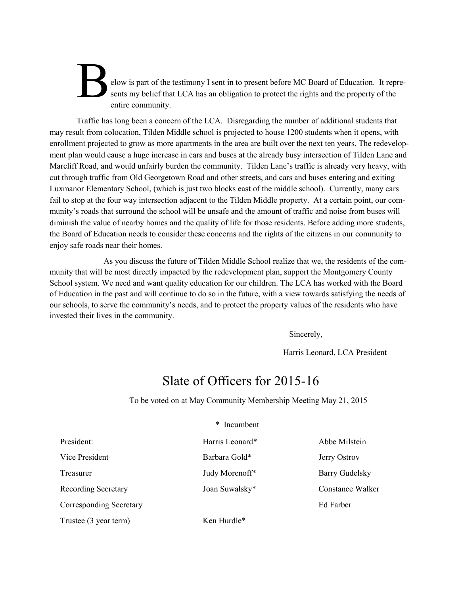### elow is part of the testimony I sent in to present before MC Board of Education. It represents my belief that LCA has an obligation to protect the rights and the property of the entire community.

Traffic has long been a concern of the LCA. Disregarding the number of additional students that may result from colocation, Tilden Middle school is projected to house 1200 students when it opens, with enrollment projected to grow as more apartments in the area are built over the next ten years. The redevelopment plan would cause a huge increase in cars and buses at the already busy intersection of Tilden Lane and Marcliff Road, and would unfairly burden the community. Tilden Lane's traffic is already very heavy, with cut through traffic from Old Georgetown Road and other streets, and cars and buses entering and exiting Luxmanor Elementary School, (which is just two blocks east of the middle school). Currently, many cars fail to stop at the four way intersection adjacent to the Tilden Middle property. At a certain point, our community's roads that surround the school will be unsafe and the amount of traffic and noise from buses will diminish the value of nearby homes and the quality of life for those residents. Before adding more students, the Board of Education needs to consider these concerns and the rights of the citizens in our community to enjoy safe roads near their homes.

As you discuss the future of Tilden Middle School realize that we, the residents of the community that will be most directly impacted by the redevelopment plan, support the Montgomery County School system. We need and want quality education for our children. The LCA has worked with the Board of Education in the past and will continue to do so in the future, with a view towards satisfying the needs of our schools, to serve the community's needs, and to protect the property values of the residents who have invested their lives in the community.

Sincerely,

Harris Leonard, LCA President

### Slate of Officers for 2015-16

\* Incumbent

To be voted on at May Community Membership Meeting May 21, 2015

|                                | modnovni        |                       |  |
|--------------------------------|-----------------|-----------------------|--|
| President:                     | Harris Leonard* | Abbe Milstein         |  |
| Vice President                 | Barbara Gold*   | <b>Jerry Ostrov</b>   |  |
| Treasurer                      | Judy Morenoff*  | <b>Barry Gudelsky</b> |  |
| <b>Recording Secretary</b>     | Joan Suwalsky*  | Constance Walker      |  |
| <b>Corresponding Secretary</b> |                 | Ed Farber             |  |
| Trustee (3 year term)          | Ken Hurdle*     |                       |  |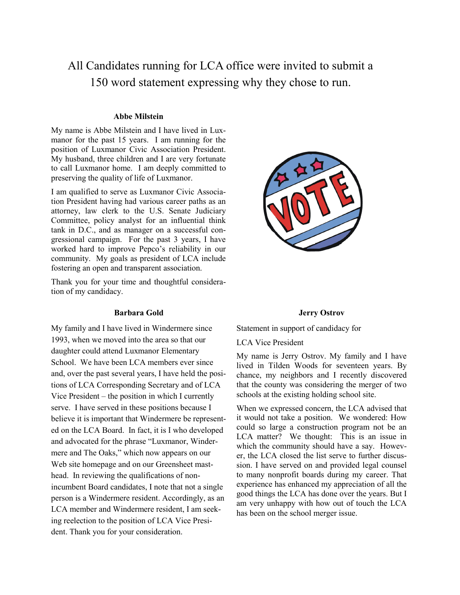All Candidates running for LCA office were invited to submit a 150 word statement expressing why they chose to run.

#### **Abbe Milstein**

My name is Abbe Milstein and I have lived in Luxmanor for the past 15 years. I am running for the position of Luxmanor Civic Association President. My husband, three children and I are very fortunate to call Luxmanor home. I am deeply committed to preserving the quality of life of Luxmanor.

I am qualified to serve as Luxmanor Civic Association President having had various career paths as an attorney, law clerk to the U.S. Senate Judiciary Committee, policy analyst for an influential think tank in D.C., and as manager on a successful congressional campaign. For the past 3 years, I have worked hard to improve Pepco's reliability in our community. My goals as president of LCA include fostering an open and transparent association.

Thank you for your time and thoughtful consideration of my candidacy.

#### **Barbara Gold**

My family and I have lived in Windermere since 1993, when we moved into the area so that our daughter could attend Luxmanor Elementary School. We have been LCA members ever since and, over the past several years, I have held the positions of LCA Corresponding Secretary and of LCA Vice President – the position in which I currently serve. I have served in these positions because I believe it is important that Windermere be represented on the LCA Board. In fact, it is I who developed and advocated for the phrase "Luxmanor, Windermere and The Oaks," which now appears on our Web site homepage and on our Greensheet masthead. In reviewing the qualifications of nonincumbent Board candidates, I note that not a single person is a Windermere resident. Accordingly, as an LCA member and Windermere resident, I am seeking reelection to the position of LCA Vice President. Thank you for your consideration.



#### **Jerry Ostrov**

Statement in support of candidacy for

LCA Vice President

My name is Jerry Ostrov. My family and I have lived in Tilden Woods for seventeen years. By chance, my neighbors and I recently discovered that the county was considering the merger of two schools at the existing holding school site.

When we expressed concern, the LCA advised that it would not take a position. We wondered: How could so large a construction program not be an LCA matter? We thought: This is an issue in which the community should have a say. However, the LCA closed the list serve to further discussion. I have served on and provided legal counsel to many nonprofit boards during my career. That experience has enhanced my appreciation of all the good things the LCA has done over the years. But I am very unhappy with how out of touch the LCA has been on the school merger issue.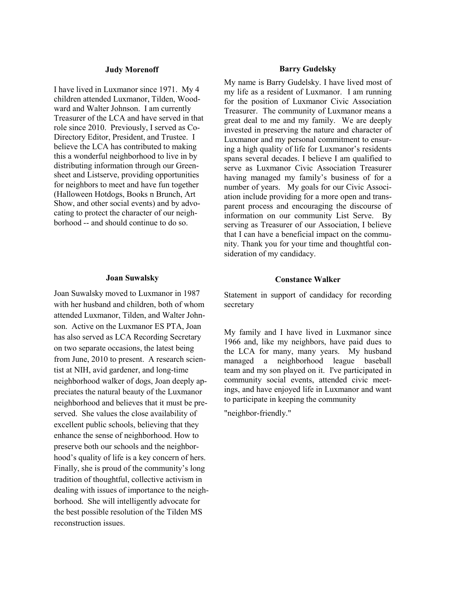#### **Judy Morenoff**

I have lived in Luxmanor since 1971. My 4 children attended Luxmanor, Tilden, Woodward and Walter Johnson. I am currently Treasurer of the LCA and have served in that role since 2010. Previously, I served as Co-Directory Editor, President, and Trustee. I believe the LCA has contributed to making this a wonderful neighborhood to live in by distributing information through our Greensheet and Listserve, providing opportunities for neighbors to meet and have fun together (Halloween Hotdogs, Books n Brunch, Art Show, and other social events) and by advocating to protect the character of our neighborhood -- and should continue to do so.

#### **Joan Suwalsky**

Joan Suwalsky moved to Luxmanor in 1987 with her husband and children, both of whom attended Luxmanor, Tilden, and Walter Johnson. Active on the Luxmanor ES PTA, Joan has also served as LCA Recording Secretary on two separate occasions, the latest being from June, 2010 to present. A research scientist at NIH, avid gardener, and long-time neighborhood walker of dogs, Joan deeply appreciates the natural beauty of the Luxmanor neighborhood and believes that it must be preserved. She values the close availability of excellent public schools, believing that they enhance the sense of neighborhood. How to preserve both our schools and the neighborhood's quality of life is a key concern of hers. Finally, she is proud of the community's long tradition of thoughtful, collective activism in dealing with issues of importance to the neighborhood. She will intelligently advocate for the best possible resolution of the Tilden MS reconstruction issues.

#### **Barry Gudelsky**

My name is Barry Gudelsky. I have lived most of my life as a resident of Luxmanor. I am running for the position of Luxmanor Civic Association Treasurer. The community of Luxmanor means a great deal to me and my family. We are deeply invested in preserving the nature and character of Luxmanor and my personal commitment to ensuring a high quality of life for Luxmanor's residents spans several decades. I believe I am qualified to serve as Luxmanor Civic Association Treasurer having managed my family's business of for a number of years. My goals for our Civic Association include providing for a more open and transparent process and encouraging the discourse of information on our community List Serve. By serving as Treasurer of our Association, I believe that I can have a beneficial impact on the community. Thank you for your time and thoughtful consideration of my candidacy.

#### **Constance Walker**

Statement in support of candidacy for recording secretary

My family and I have lived in Luxmanor since 1966 and, like my neighbors, have paid dues to the LCA for many, many years. My husband managed a neighborhood league baseball team and my son played on it. I've participated in community social events, attended civic meetings, and have enjoyed life in Luxmanor and want to participate in keeping the community

"neighbor-friendly."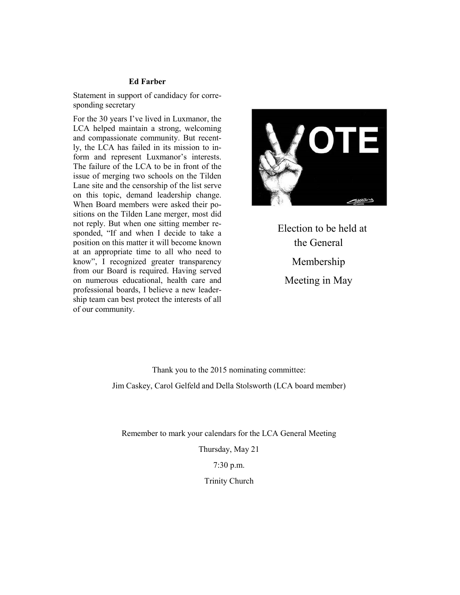#### **Ed Farber**

Statement in support of candidacy for corresponding secretary

For the 30 years I've lived in Luxmanor, the LCA helped maintain a strong, welcoming and compassionate community. But recently, the LCA has failed in its mission to inform and represent Luxmanor's interests. The failure of the LCA to be in front of the issue of merging two schools on the Tilden Lane site and the censorship of the list serve on this topic, demand leadership change. When Board members were asked their positions on the Tilden Lane merger, most did not reply. But when one sitting member responded, "If and when I decide to take a position on this matter it will become known at an appropriate time to all who need to know", I recognized greater transparency from our Board is required. Having served on numerous educational, health care and professional boards, I believe a new leadership team can best protect the interests of all of our community.



 Election to be held at the General Membership Meeting in May

Thank you to the 2015 nominating committee: Jim Caskey, Carol Gelfeld and Della Stolsworth (LCA board member)

Remember to mark your calendars for the LCA General Meeting

Thursday, May 21

7:30 p.m.

Trinity Church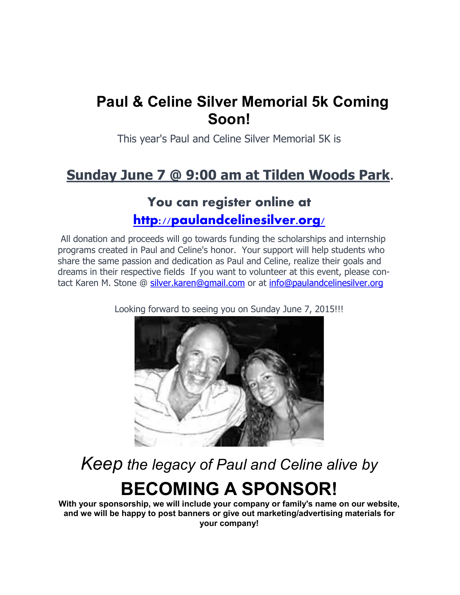# **Paul & Celine Silver Memorial 5k Coming Soon!**

This year's Paul and Celine Silver Memorial 5K is

# **Sunday June 7 @ 9:00 am at Tilden Woods Park**.

## **You can register online at <http://paulandcelinesilver.org/>**

All donation and proceeds will go towards funding the scholarships and internship programs created in Paul and Celine's honor. Your support will help students who share the same passion and dedication as Paul and Celine, realize their goals and dreams in their respective fields If you want to volunteer at this event, please contact Karen M. Stone @ [silver.karen@gmail.com](mailto:silver.karen@gmail.com) or at [info@paulandcelinesilver.org](mailto:info@paulandcelinesilver.org)



Looking forward to seeing you on Sunday June 7, 2015!!!

*Keep the legacy of Paul and Celine alive by*

# **BECOMING A SPONSOR!**

**With your sponsorship, we will include your company or family's name on our website, and we will be happy to post banners or give out marketing/advertising materials for your company!**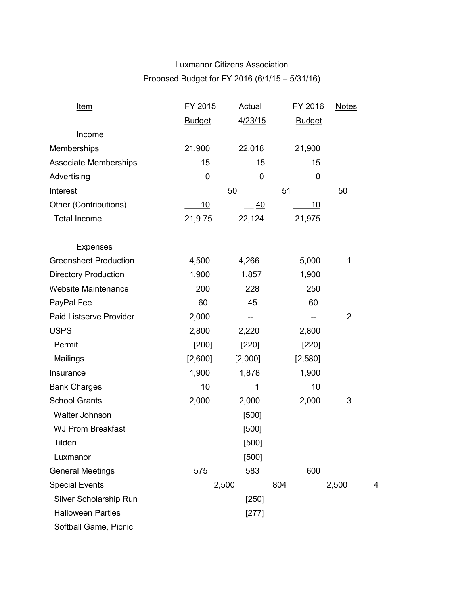### Luxmanor Citizens Association Proposed Budget for FY 2016 (6/1/15 – 5/31/16)

| <u>Item</u>                  | FY 2015       | Actual  | FY 2016       | <b>Notes</b>   |   |
|------------------------------|---------------|---------|---------------|----------------|---|
|                              | <b>Budget</b> | 4/23/15 | <b>Budget</b> |                |   |
| Income                       |               |         |               |                |   |
| Memberships                  | 21,900        | 22,018  | 21,900        |                |   |
| Associate Memberships        | 15            | 15      | 15            |                |   |
| Advertising                  | 0             | 0       | 0             |                |   |
| Interest                     |               | 50      | 51            | 50             |   |
| Other (Contributions)        | <u>10</u>     | 40      | <u> 10</u>    |                |   |
| <b>Total Income</b>          | 21,975        | 22,124  | 21,975        |                |   |
| <b>Expenses</b>              |               |         |               |                |   |
| <b>Greensheet Production</b> | 4,500         | 4,266   | 5,000         | 1              |   |
| <b>Directory Production</b>  | 1,900         | 1,857   | 1,900         |                |   |
| <b>Website Maintenance</b>   | 200           | 228     | 250           |                |   |
| PayPal Fee                   | 60            | 45      | 60            |                |   |
| Paid Listserve Provider      | 2,000         | --      | --            | $\overline{2}$ |   |
| <b>USPS</b>                  | 2,800         | 2,220   | 2,800         |                |   |
| Permit                       | [200]         | [220]   | [220]         |                |   |
| Mailings                     | [2,600]       | [2,000] | [2,580]       |                |   |
| Insurance                    | 1,900         | 1,878   | 1,900         |                |   |
| <b>Bank Charges</b>          | 10            | 1       | 10            |                |   |
| <b>School Grants</b>         | 2,000         | 2,000   | 2,000         | 3              |   |
| Walter Johnson               |               | [500]   |               |                |   |
| <b>WJ Prom Breakfast</b>     |               | [500]   |               |                |   |
| Tilden                       |               | [500]   |               |                |   |
| Luxmanor                     |               | $[500]$ |               |                |   |
| <b>General Meetings</b>      | 575           | 583     | 600           |                |   |
| <b>Special Events</b>        | 2,500         |         | 804           | 2,500          | 4 |
| Silver Scholarship Run       |               | $[250]$ |               |                |   |
| <b>Halloween Parties</b>     |               | $[277]$ |               |                |   |
| Softball Game, Picnic        |               |         |               |                |   |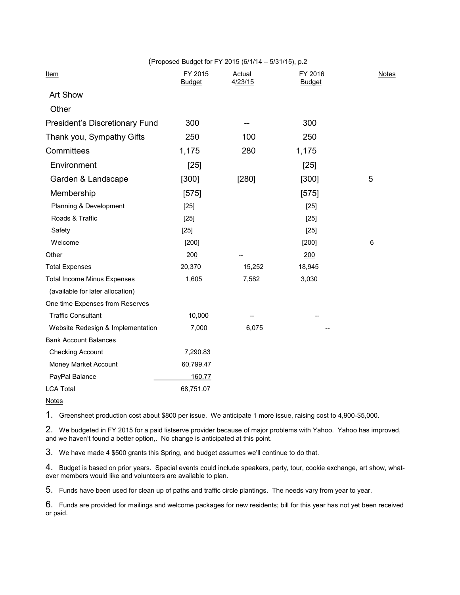|                                    |                          | (Proposed Budget for FY 2015 (6/1/14 - 5/31/15), p.2 |                          |              |
|------------------------------------|--------------------------|------------------------------------------------------|--------------------------|--------------|
| <u>Item</u>                        | FY 2015<br><b>Budget</b> | Actual<br>4/23/15                                    | FY 2016<br><b>Budget</b> | <b>Notes</b> |
| Art Show                           |                          |                                                      |                          |              |
| Other                              |                          |                                                      |                          |              |
| President's Discretionary Fund     | 300                      |                                                      | 300                      |              |
| Thank you, Sympathy Gifts          | 250                      | 100                                                  | 250                      |              |
| Committees                         | 1,175                    | 280                                                  | 1,175                    |              |
| Environment                        | $[25]$                   |                                                      | $[25]$                   |              |
| Garden & Landscape                 | [300]                    | [280]                                                | [300]                    | 5            |
| Membership                         | [575]                    |                                                      | [575]                    |              |
| Planning & Development             | $[25]$                   |                                                      | $[25]$                   |              |
| Roads & Traffic                    | $[25]$                   |                                                      | $[25]$                   |              |
| Safety                             | $[25]$                   |                                                      | $[25]$                   |              |
| Welcome                            | [200]                    |                                                      | [200]                    | 6            |
| Other                              | 200                      |                                                      | 200                      |              |
| <b>Total Expenses</b>              | 20,370                   | 15,252                                               | 18,945                   |              |
| <b>Total Income Minus Expenses</b> | 1,605                    | 7,582                                                | 3,030                    |              |
| (available for later allocation)   |                          |                                                      |                          |              |
| One time Expenses from Reserves    |                          |                                                      |                          |              |
| <b>Traffic Consultant</b>          | 10,000                   |                                                      |                          |              |
| Website Redesign & Implementation  | 7,000                    | 6,075                                                |                          |              |
| <b>Bank Account Balances</b>       |                          |                                                      |                          |              |
| <b>Checking Account</b>            | 7,290.83                 |                                                      |                          |              |
| Money Market Account               | 60,799.47                |                                                      |                          |              |
| PayPal Balance                     | 160.77                   |                                                      |                          |              |
| <b>LCA Total</b>                   | 68,751.07                |                                                      |                          |              |

**Notes** 

1. Greensheet production cost about \$800 per issue. We anticipate 1 more issue, raising cost to 4,900-\$5,000.

2. We budgeted in FY 2015 for a paid listserve provider because of major problems with Yahoo. Yahoo has improved, and we haven't found a better option,. No change is anticipated at this point.

3. We have made 4 \$500 grants this Spring, and budget assumes we'll continue to do that.

4. Budget is based on prior years. Special events could include speakers, party, tour, cookie exchange, art show, whatever members would like and volunteers are available to plan.

5. Funds have been used for clean up of paths and traffic circle plantings. The needs vary from year to year.

6. Funds are provided for mailings and welcome packages for new residents; bill for this year has not yet been received or paid.